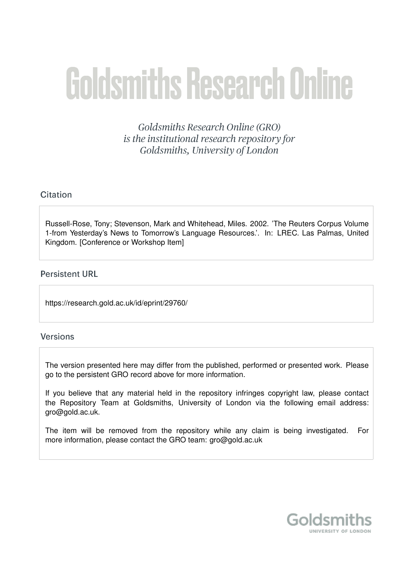# **Goldsmiths Research Online**

Goldsmiths Research Online (GRO) is the institutional research repository for Goldsmiths, University of London

# Citation

Russell-Rose, Tony; Stevenson, Mark and Whitehead, Miles. 2002. 'The Reuters Corpus Volume 1-from Yesterday's News to Tomorrow's Language Resources.'. In: LREC. Las Palmas, United Kingdom. [Conference or Workshop Item]

# **Persistent URL**

https://research.gold.ac.uk/id/eprint/29760/

# **Versions**

The version presented here may differ from the published, performed or presented work. Please go to the persistent GRO record above for more information.

If you believe that any material held in the repository infringes copyright law, please contact the Repository Team at Goldsmiths, University of London via the following email address: gro@gold.ac.uk.

The item will be removed from the repository while any claim is being investigated. For more information, please contact the GRO team: gro@gold.ac.uk

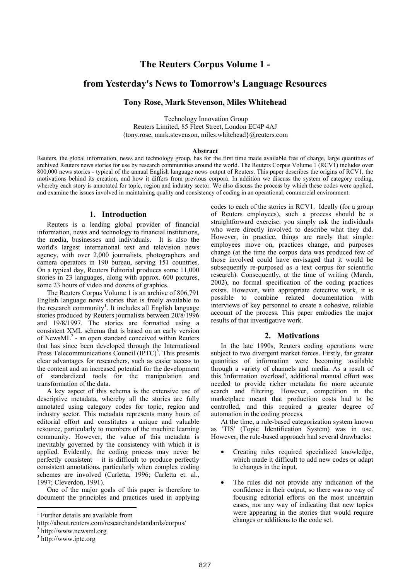# **The Reuters Corpus Volume 1 -**

# **from Yesterday's News to Tomorrow's Language Resources**

# **Tony Rose, Mark Stevenson, Miles Whitehead**

 Technology Innovation Group Reuters Limited, 85 Fleet Street, London EC4P 4AJ {tony.rose, mark.stevenson, miles.whitehead}@reuters.com

#### **Abstract**

Reuters, the global information, news and technology group, has for the first time made available free of charge, large quantities of archived Reuters news stories for use by research communities around the world. The Reuters Corpus Volume 1 (RCV1) includes over 800,000 news stories - typical of the annual English language news output of Reuters. This paper describes the origins of RCV1, the motivations behind its creation, and how it differs from previous corpora. In addition we discuss the system of category coding, whereby each story is annotated for topic, region and industry sector. We also discuss the process by which these codes were applied. and examine the issues involved in maintaining quality and consistency of coding in an operational, commercial environment.

## **1. Introduction**

Reuters is a leading global provider of financial information, news and technology to financial institutions, the media, businesses and individuals. It is also the world's largest international text and television news agency, with over 2,000 journalists, photographers and camera operators in 190 bureau, serving 151 countries. On a typical day, Reuters Editorial produces some 11,000 stories in 23 languages, along with approx. 600 pictures, some 23 hours of video and dozens of graphics.

The Reuters Corpus Volume 1 is an archive of 806,791 English language news stories that is freely available to the research community<sup>1</sup>. It includes all English language stories produced by Reuters journalists between 20/8/1996 and 19/8/1997. The stories are formatted using a consistent XML schema that is based on an early version of News $ML^2$  - an open standard conceived within Reuters that has since been developed through the International Press Telecommunications Council  $(IPTC)^3$ . This presents clear advantages for researchers, such as easier access to the content and an increased potential for the development of standardized tools for the manipulation and transformation of the data.

A key aspect of this schema is the extensive use of descriptive metadata, whereby all the stories are fully annotated using category codes for topic, region and industry sector. This metadata represents many hours of editorial effort and constitutes a unique and valuable resource, particularly to members of the machine learning community. However, the value of this metadata is inevitably governed by the consistency with which it is applied. Evidently, the coding process may never be perfectly consistent – it is difficult to produce perfectly consistent annotations, particularly when complex coding schemes are involved (Carletta, 1996; Carletta et. al., 1997; Cleverdon, 1991).

One of the major goals of this paper is therefore to document the principles and practices used in applying

codes to each of the stories in RCV1. Ideally (for a group of Reuters employees), such a process should be a straightforward exercise: you simply ask the individuals who were directly involved to describe what they did. However, in practice, things are rarely that simple: employees move on, practices change, and purposes change (at the time the corpus data was produced few of those involved could have envisaged that it would be subsequently re-purposed as a text corpus for scientific research). Consequently, at the time of writing (March, 2002), no formal specification of the coding practices exists. However, with appropriate detective work, it is possible to combine related documentation with interviews of key personnel to create a cohesive, reliable account of the process. This paper embodies the major results of that investigative work.

#### **2. Motivations**

In the late 1990s, Reuters coding operations were subject to two divergent market forces. Firstly, far greater quantities of information were becoming available through a variety of channels and media. As a result of this 'information overload', additional manual effort was needed to provide richer metadata for more accurate search and filtering. However, competition in the marketplace meant that production costs had to be controlled, and this required a greater degree of automation in the coding process.

At the time, a rule-based categorization system known as 'TIS' (Topic Identification System) was in use. However, the rule-based approach had several drawbacks:

- Creating rules required specialized knowledge, which made it difficult to add new codes or adapt to changes in the input.
- The rules did not provide any indication of the confidence in their output, so there was no way of focusing editorial efforts on the most uncertain cases, nor any way of indicating that new topics were appearing in the stories that would require changes or additions to the code set.

<sup>&</sup>lt;sup>1</sup> Further details are available from

http://about.reuters.com/researchandstandards/corpus/

<sup>2</sup> http://www.newsml.org

<sup>&</sup>lt;sup>3</sup> http://www.iptc.org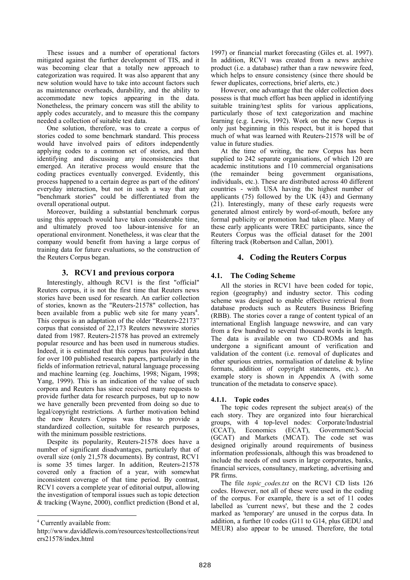These issues and a number of operational factors mitigated against the further development of TIS, and it was becoming clear that a totally new approach to categorization was required. It was also apparent that any new solution would have to take into account factors such as maintenance overheads, durability, and the ability to accommodate new topics appearing in the data. Nonetheless, the primary concern was still the ability to apply codes accurately, and to measure this the company needed a collection of suitable test data.

One solution, therefore, was to create a corpus of stories coded to some benchmark standard. This process would have involved pairs of editors independently applying codes to a common set of stories, and then identifying and discussing any inconsistencies that emerged. An iterative process would ensure that the coding practices eventually converged. Evidently, this process happened to a certain degree as part of the editors' everyday interaction, but not in such a way that any "benchmark stories" could be differentiated from the overall operational output.

Moreover, building a substantial benchmark corpus using this approach would have taken considerable time, and ultimately proved too labour-intensive for an operational environment. Nonetheless, it was clear that the company would benefit from having a large corpus of training data for future evaluations, so the construction of the Reuters Corpus began.

#### **3. RCV1 and previous corpora**

Interestingly, although RCV1 is the first "official" Reuters corpus, it is not the first time that Reuters news stories have been used for research. An earlier collection of stories, known as the "Reuters-21578" collection, has been available from a public web site for many years<sup>4</sup>. This corpus is an adaptation of the older "Reuters-22173" corpus that consisted of 22,173 Reuters newswire stories dated from 1987. Reuters-21578 has proved an extremely popular resource and has been used in numerous studies. Indeed, it is estimated that this corpus has provided data for over 100 published research papers, particularly in the fields of information retrieval, natural language processing and machine learning (eg. Joachims, 1998; Nigam, 1998; Yang, 1999). This is an indication of the value of such corpora and Reuters has since received many requests to provide further data for research purposes, but up to now we have generally been prevented from doing so due to legal/copyright restrictions. A further motivation behind the new Reuters Corpus was thus to provide a standardized collection, suitable for research purposes, with the minimum possible restrictions.

Despite its popularity, Reuters-21578 does have a number of significant disadvantages, particularly that of overall size (only 21,578 documents). By contrast, RCV1 is some 35 times larger. In addition, Reuters-21578 covered only a fraction of a year, with somewhat inconsistent coverage of that time period. By contrast, RCV1 covers a complete year of editorial output, allowing the investigation of temporal issues such as topic detection & tracking (Wayne, 2000), conflict prediction (Bond et al,

 $\overline{a}$ 

1997) or financial market forecasting (Giles et. al. 1997). In addition, RCV1 was created from a news archive product (i.e. a database) rather than a raw newswire feed, which helps to ensure consistency (since there should be fewer duplicates, corrections, brief alerts, etc.)

However, one advantage that the older collection does possess is that much effort has been applied in identifying suitable training/test splits for various applications, particularly those of text categorization and machine learning (e.g. Lewis, 1992). Work on the new Corpus is only just beginning in this respect, but it is hoped that much of what was learned with Reuters-21578 will be of value in future studies.

At the time of writing, the new Corpus has been supplied to 242 separate organisations, of which 120 are academic institutions and 110 commercial organisations (the remainder being government organisations, individuals, etc.). These are distributed across 40 different countries - with USA having the highest number of applicants (75) followed by the UK (43) and Germany (21). Interestingly, many of these early requests were generated almost entirely by word-of-mouth, before any formal publicity or promotion had taken place. Many of these early applicants were TREC participants, since the Reuters Corpus was the official dataset for the 2001 filtering track (Robertson and Callan, 2001).

#### **4. Coding the Reuters Corpus**

#### **4.1. The Coding Scheme**

All the stories in RCV1 have been coded for topic, region (geography) and industry sector. This coding scheme was designed to enable effective retrieval from database products such as Reuters Business Briefing (RBB). The stories cover a range of content typical of an international English language newswire, and can vary from a few hundred to several thousand words in length. The data is available on two CD-ROMs and has undergone a significant amount of verification and validation of the content (i.e. removal of duplicates and other spurious entries, normalisation of dateline & byline formats, addition of copyright statements, etc.). An example story is shown in Appendix A (with some truncation of the metadata to conserve space).

#### **4.1.1. Topic codes**

The topic codes represent the subject area(s) of the each story. They are organized into four hierarchical groups, with 4 top-level nodes: Corporate/Industrial (CCAT), Economics (ECAT), Government/Social (GCAT) and Markets (MCAT). The code set was designed originally around requirements of business information professionals, although this was broadened to include the needs of end users in large corporates, banks, financial services, consultancy, marketing, advertising and PR firms.

The file *topic\_codes.txt* on the RCV1 CD lists 126 codes. However, not all of these were used in the coding of the corpus. For example, there is a set of 11 codes labelled as 'current news', but these and the 2 codes marked as 'temporary' are unused in the corpus data. In addition, a further 10 codes (G11 to G14, plus GEDU and MEUR) also appear to be unused. Therefore, the total

<sup>4</sup> Currently available from:

http://www.daviddlewis.com/resources/testcollections/reut ers21578/index.html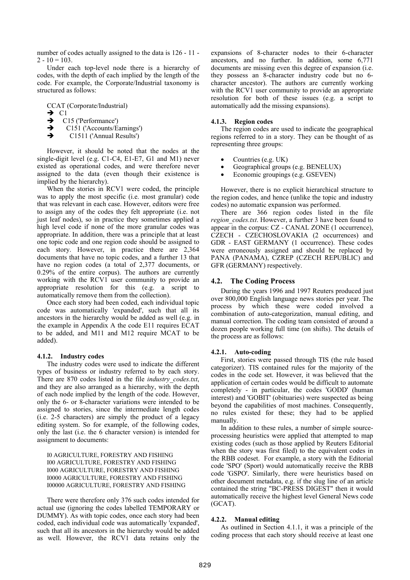number of codes actually assigned to the data is 126 - 11 -  $2 - 10 = 103$ .

Under each top-level node there is a hierarchy of codes, with the depth of each implied by the length of the code. For example, the Corporate/Industrial taxonomy is structured as follows:

CCAT (Corporate/Industrial)

 $\rightarrow$  C1

- C15 ('Performance')
- $\rightarrow$  C151 ('Accounts/Earnings')
- $\rightarrow$  C1511 ('Annual Results')

However, it should be noted that the nodes at the single-digit level (e.g. C1-C4, E1-E7, G1 and M1) never existed as operational codes, and were therefore never assigned to the data (even though their existence is implied by the hierarchy).

When the stories in RCV1 were coded, the principle was to apply the most specific (i.e. most granular) code that was relevant in each case. However, editors were free to assign any of the codes they felt appropriate (i.e. not just leaf nodes), so in practice they sometimes applied a high level code if none of the more granular codes was appropriate. In addition, there was a principle that at least one topic code and one region code should be assigned to each story. However, in practice there are 2,364 documents that have no topic codes, and a further 13 that have no region codes (a total of 2,377 documents, or 0.29% of the entire corpus). The authors are currently working with the RCV1 user community to provide an appropriate resolution for this (e.g. a script to automatically remove them from the collection).

Once each story had been coded, each individual topic code was automatically 'expanded', such that all its ancestors in the hierarchy would be added as well (e.g. in the example in Appendix A the code E11 requires ECAT to be added, and M11 and M12 require MCAT to be added).

#### **4.1.2. Industry codes**

The industry codes were used to indicate the different types of business or industry referred to by each story. There are 870 codes listed in the file *industry\_codes.txt*, and they are also arranged as a hierarchy, with the depth of each node implied by the length of the code. However, only the 6- or 8-character variations were intended to be assigned to stories, since the intermediate length codes (i.e. 2-5 characters) are simply the product of a legacy editing system. So for example, of the following codes, only the last (i.e. the 6 character version) is intended for assignment to documents:

I0 AGRICULTURE, FORESTRY AND FISHING I00 AGRICULTURE, FORESTRY AND FISHING I000 AGRICULTURE, FORESTRY AND FISHING I0000 AGRICULTURE, FORESTRY AND FISHING I00000 AGRICULTURE, FORESTRY AND FISHING

There were therefore only 376 such codes intended for actual use (ignoring the codes labelled TEMPORARY or DUMMY). As with topic codes, once each story had been coded, each individual code was automatically 'expanded', such that all its ancestors in the hierarchy would be added as well. However, the RCV1 data retains only the expansions of 8-character nodes to their 6-character ancestors, and no further. In addition, some 6,771 documents are missing even this degree of expansion (i.e. they possess an 8-character industry code but no 6 character ancestor). The authors are currently working with the RCV1 user community to provide an appropriate resolution for both of these issues (e.g. a script to automatically add the missing expansions).

#### **4.1.3. Region codes**

The region codes are used to indicate the geographical regions referred to in a story. They can be thought of as representing three groups:

- Countries (e.g. UK)
- Geographical groups (e.g. BENELUX)
- Economic groupings (e.g. GSEVEN)

However, there is no explicit hierarchical structure to the region codes, and hence (unlike the topic and industry codes) no automatic expansion was performed.

There are 366 region codes listed in the file *region\_codes.txt*. However, a further 3 have been found to appear in the corpus: CZ - CANAL ZONE (1 occurrence), CZECH - CZECHOSLOVAKIA (2 occurrences) and GDR - EAST GERMANY (1 occurrence). These codes were erroneously assigned and should be replaced by PANA (PANAMA), CZREP (CZECH REPUBLIC) and GFR (GERMANY) respectively.

## **4.2. The Coding Process**

During the years 1996 and 1997 Reuters produced just over 800,000 English language news stories per year. The process by which these were coded involved a combination of auto-categorization, manual editing, and manual correction. The coding team consisted of around a dozen people working full time (on shifts). The details of the process are as follows:

## **4.2.1. Auto-coding**

First, stories were passed through TIS (the rule based categorizer). TIS contained rules for the majority of the codes in the code set. However, it was believed that the application of certain codes would be difficult to automate completely - in particular, the codes 'GODD' (human interest) and 'GOBIT' (obituaries) were suspected as being beyond the capabilities of most machines. Consequently, no rules existed for these; they had to be applied manually.

In addition to these rules, a number of simple sourceprocessing heuristics were applied that attempted to map existing codes (such as those applied by Reuters Editorial when the story was first filed) to the equivalent codes in the RBB codeset. For example, a story with the Editorial code 'SPO' (Sport) would automatically receive the RBB code 'GSPO'. Similarly, there were heuristics based on other document metadata, e.g. if the slug line of an article contained the string "BC-PRESS DIGEST" then it would automatically receive the highest level General News code (GCAT).

## **4.2.2. Manual editing**

As outlined in Section 4.1.1, it was a principle of the coding process that each story should receive at least one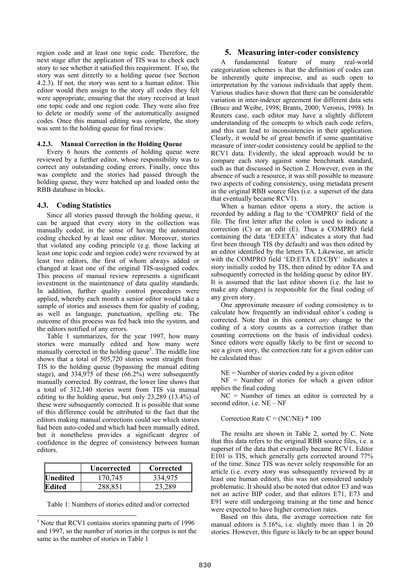region code and at least one topic code. Therefore, the next stage after the application of TIS was to check each story to see whether it satisfied this requirement. If so, the story was sent directly to a holding queue (see Section 4.2.3). If not, the story was sent to a human editor. This editor would then assign to the story all codes they felt were appropriate, ensuring that the story received at least one topic code and one region code. They were also free to delete or modify some of the automatically assigned codes. Once this manual editing was complete, the story was sent to the holding queue for final review.

#### **4.2.3. Manual Correction in the Holding Queue**

Every 6 hours the contents of holding queue were reviewed by a further editor, whose responsibility was to correct any outstanding coding errors. Finally, once this was complete and the stories had passed through the holding queue, they were batched up and loaded onto the RBB database in blocks.

#### **4.3. Coding Statistics**

Since all stories passed through the holding queue, it can be argued that every story in the collection was manually coded, in the sense of having the automated coding checked by at least one editor. Moreover, stories that violated any coding principle (e.g. those lacking at least one topic code and region code) were reviewed by at least two editors, the first of whom always added or changed at least one of the original TIS-assigned codes. This process of manual review represents a significant investment in the maintenance of data quality standards. In addition, further quality control procedures were applied, whereby each month a senior editor would take a sample of stories and assesses them for quality of coding, as well as language, punctuation, spelling etc. The outcome of this process was fed back into the system, and the editors notified of any errors.

Table 1 summarizes, for the year 1997, how many stories were manually edited and how many were manually corrected in the holding queue<sup>5</sup>. The middle line shows that a total of 505,720 stories went straight from TIS to the holding queue (bypassing the manual editing stage), and 334,975 of these (66.2%) were subsequently manually corrected. By contrast, the lower line shows that a total of 312,140 stories went from TIS via manual editing to the holding queue, but only 23,289 (13.4%) of these were subsequently corrected. It is possible that some of this difference could be attributed to the fact that the editors making manual corrections could see which stories had been auto-coded and which had been manually edited, but it nonetheless provides a significant degree of confidence in the degree of consistency between human editors.

|                               | Uncorrected | Corrected |
|-------------------------------|-------------|-----------|
| <i><u><b>Unedited</b></u></i> | 170.745     | 334.975   |
| Edited                        | 288.851     |           |

Table 1: Numbers of stories edited and/or corrected

 $\overline{a}$ 

## **5. Measuring inter-coder consistency**

A fundamental feature of many real-world categorization schemes is that the definition of codes can be inherently quite imprecise, and as such open to interpretation by the various individuals that apply them. Various studies have shown that there can be considerable variation in inter-indexer agreement for different data sets (Bruce and Weibe, 1998; Brants, 2000; Veronis, 1998). In Reuters case, each editor may have a slightly different understanding of the concepts to which each code refers, and this can lead to inconsistencies in their application. Clearly, it would be of great benefit if some quantitative measure of inter-coder consistency could be applied to the RCV1 data. Evidently, the ideal approach would be to compare each story against some benchmark standard, such as that discussed in Section 2. However, even in the absence of such a resource, it was still possible to measure two aspects of coding consistency, using metadata present in the original RBB source files (i.e. a superset of the data that eventually became RCV1).

When a human editor opens a story, the action is recorded by adding a flag to the 'COMPRO' field of the file. The first letter after the colon is used to indicate a correction (C) or an edit (E). Thus a COMPRO field containing the data 'ED:ETA' indicates a story that had first been through TIS (by default) and was then edited by an editor identified by the letters TA. Likewise, an article with the COMPRO field 'ED:ETA ED:CBY' indicates a story initially coded by TIS, then edited by editor TA and subsequently corrected in the holding queue by editor BY. It is assumed that the last editor shown (i.e. the last to make any changes) is responsible for the final coding of any given story.

One approximate measure of coding consistency is to calculate how frequently an individual editor's coding is corrected. Note that in this context *any* change to the coding of a story counts as a correction (rather than counting corrections on the basis of individual codes). Since editors were equally likely to be first or second to see a given story, the correction rate for a given editor can be calculated thus:

 $NE =$  Number of stories coded by a given editor

NF = Number of stories for which a given editor applies the final coding

 $NC =$  Number of times an editor is corrected by a second editor, i.e. NE – NF

Correction Rate  $C = (NC/NE) * 100$ 

The results are shown in Table 2, sorted by C. Note that this data refers to the original RBB source files, i.e. a superset of the data that eventually became RCV1. Editor E101 is TIS, which generally gets corrected around 77% of the time. Since TIS was never solely responsible for an article (i.e. every story was subsequently reviewed by at least one human editor), this was not considered unduly problematic. It should also be noted that editor E3 and was not an active BIP coder, and that editors E71, E73 and E91 were still undergoing training at the time and hence were expected to have higher correction rates.

Based on this data, the average correction rate for manual editors is 5.16%, i.e. slightly more than 1 in 20 stories. However, this figure is likely to be an upper bound

<sup>5</sup> Note that RCV1 contains stories spanning parts of 1996 and 1997, so the number of stories in the corpus is not the same as the number of stories in Table 1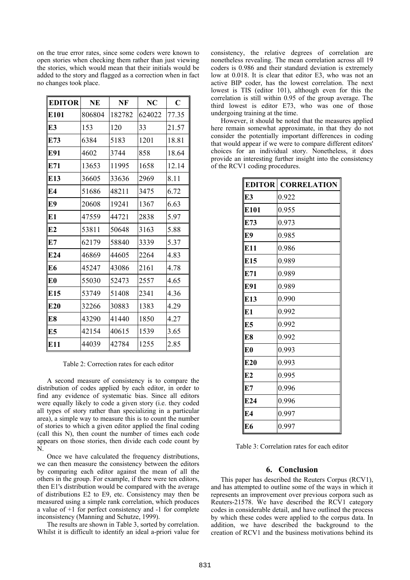on the true error rates, since some coders were known to open stories when checking them rather than just viewing the stories, which would mean that their initials would be added to the story and flagged as a correction when in fact no changes took place.

| <b>EDITOR</b>   | <b>NE</b> | NF     | NC     | $\mathbf C$ |
|-----------------|-----------|--------|--------|-------------|
| E101            | 806804    | 182782 | 624022 | 77.35       |
| E3              | 153       | 120    | 33     | 21.57       |
| E73             | 6384      | 5183   | 1201   | 18.81       |
| E91             | 4602      | 3744   | 858    | 18.64       |
| E71             | 13653     | 11995  | 1658   | 12.14       |
| E13             | 36605     | 33636  | 2969   | 8.11        |
| E4              | 51686     | 48211  | 3475   | 6.72        |
| E9              | 20608     | 19241  | 1367   | 6.63        |
| E1              | 47559     | 44721  | 2838   | 5.97        |
| E2              | 53811     | 50648  | 3163   | 5.88        |
| E7              | 62179     | 58840  | 3339   | 5.37        |
| E <sub>24</sub> | 46869     | 44605  | 2264   | 4.83        |
| E6              | 45247     | 43086  | 2161   | 4.78        |
| E <sub>0</sub>  | 55030     | 52473  | 2557   | 4.65        |
| E15             | 53749     | 51408  | 2341   | 4.36        |
| E20             | 32266     | 30883  | 1383   | 4.29        |
| E8              | 43290     | 41440  | 1850   | 4.27        |
| E5              | 42154     | 40615  | 1539   | 3.65        |
| E11             | 44039     | 42784  | 1255   | 2.85        |

Table 2: Correction rates for each editor

A second measure of consistency is to compare the distribution of codes applied by each editor, in order to find any evidence of systematic bias. Since all editors were equally likely to code a given story (i.e. they coded all types of story rather than specializing in a particular area), a simple way to measure this is to count the number of stories to which a given editor applied the final coding (call this N), then count the number of times each code appears on those stories, then divide each code count by N.

Once we have calculated the frequency distributions, we can then measure the consistency between the editors by comparing each editor against the mean of all the others in the group. For example, if there were ten editors, then E1's distribution would be compared with the average of distributions E2 to E9, etc. Consistency may then be measured using a simple rank correlation, which produces a value of +1 for perfect consistency and -1 for complete inconsistency (Manning and Schutze, 1999).

The results are shown in Table 3, sorted by correlation. Whilst it is difficult to identify an ideal a-priori value for consistency, the relative degrees of correlation are nonetheless revealing. The mean correlation across all 19 coders is 0.986 and their standard deviation is extremely low at 0.018. It is clear that editor E3, who was not an active BIP coder, has the lowest correlation. The next lowest is TIS (editor 101), although even for this the correlation is still within 0.95 of the group average. The third lowest is editor E73, who was one of those undergoing training at the time.

However, it should be noted that the measures applied here remain somewhat approximate, in that they do not consider the potentially important differences in coding that would appear if we were to compare different editors' choices for an individual story. Nonetheless, it does provide an interesting further insight into the consistency of the RCV1 coding procedures.

| <b>EDITOR</b>   | <b>CORRELATION</b> |
|-----------------|--------------------|
| E3              | 0.922              |
| E101            | 0.955              |
| E73             | 0.973              |
| E9              | 0.985              |
| E11             | 0.986              |
| E15             | 0.989              |
| E71             | 0.989              |
| E91             | 0.989              |
| E <sub>13</sub> | 0.990              |
| E1              | 0.992              |
| E <sub>5</sub>  | 0.992              |
| E8              | 0.992              |
| E <sub>0</sub>  | 0.993              |
| E <sub>20</sub> | 0.993              |
| E2              | 0.995              |
| E7              | 0.996              |
| E24             | 0.996              |
| E4              | 0.997              |
| E6              | 0.997              |

| Table 3: Correlation rates for each editor |  |  |  |  |  |  |  |  |
|--------------------------------------------|--|--|--|--|--|--|--|--|
|--------------------------------------------|--|--|--|--|--|--|--|--|

#### **6. Conclusion**

This paper has described the Reuters Corpus (RCV1), and has attempted to outline some of the ways in which it represents an improvement over previous corpora such as Reuters-21578. We have described the RCV1 category codes in considerable detail, and have outlined the process by which these codes were applied to the corpus data. In addition, we have described the background to the creation of RCV1 and the business motivations behind its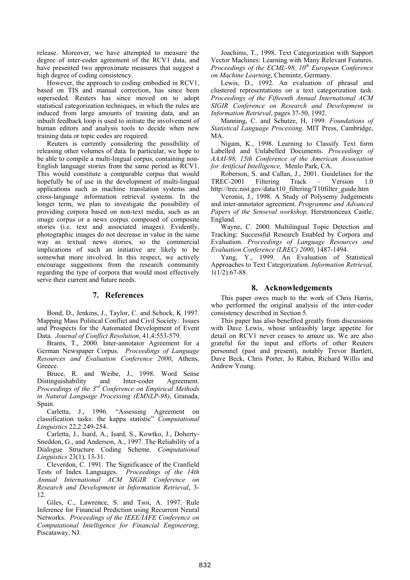release. Moreover, we have attempted to measure the degree of inter-coder agreement of the RCV1 data, and have presented two approximate measures that suggest a high degree of coding consistency.

However, the approach to coding embodied in RCV1, based on TIS and manual correction, has since been superseded. Reuters has since moved on to adopt statistical categorization techniques, in which the rules are induced from large amounts of training data, and an inbuilt feedback loop is used to initiate the involvement of human editors and analysis tools to decide when new training data or topic codes are required.

Reuters is currently considering the possibility of releasing other volumes of data. In particular, we hope to be able to compile a multi-lingual corpus, containing non-English language stories from the same period as RCV1. This would constitute a comparable corpus that would hopefully be of use in the development of multi-lingual applications such as machine translation systems and cross-language information retrieval systems. In the longer term, we plan to investigate the possibility of providing corpora based on non-text media, such as an image corpus or a news corpus composed of composite stories (i.e. text and associated images). Evidently, photographic images do not decrease in value in the same way as textual news stories, so the commercial implications of such an initiative are likely to be somewhat more involved. In this respect, we actively encourage suggestions from the research community regarding the type of corpora that would most effectively serve their current and future needs.

## **7. References**

Bond, D., Jenkins, J., Taylor, C. and Schock, K 1997. Mapping Mass Political Conflict and Civil Society: Issues and Prospects for the Automated Development of Event Data. *Journal of Conflict Resolution*, 41,4:553-579.

Brants, T., 2000. Inter-annotator Agreement for a German Newspaper Corpus. *Proceedings of Language Resources and Evaluation Conference 2000*, Athens, Greece.

Bruce, R. and Weibe, J., 1998. Word Sense Distinguishability and Inter-coder Agreement. *Proceedings of the 3rd Conference on Empirical Methods in Natural Language Processing (EMNLP-98)*, Granada, Spain.

Carletta, J., 1996. "Assessing Agreement on classification tasks: the kappa statistic" *Computational Linguistics* 22,2:249-254.

Carletta, J., Isard, A., Isard, S., Kowtko, J., Doherty-Sneddon, G., and Anderson, A., 1997. The Reliability of a Dialogue Structure Coding Scheme. *Computational Linguistics* 23(1), 13-31.

Cleverdon, C. 1991. The Significance of the Cranfield Tests of Index Languages. *Proceedings of the 14th Annual International ACM SIGIR Conference on Research and Development in Information Retrieval*, 3- 12.

Giles, C., Lawrence, S. and Tsoi, A. 1997. Rule Inference for Financial Prediction using Recurrent Neural Networks. *Proceedings of the IEEE/IAFE Conference on Computational Intelligence for Financial Engineering*, Piscataway, NJ.

Joachims, T., 1998. Text Categorization with Support Vector Machines: Learning with Many Relevant Features. *Proceedings of the ECML-98, 10th European Conference on Machine Learning*, Chemintz, Germany.

Lewis, D., 1992. An evaluation of phrasal and clustered representations on a text categorization task. *Proceedings of the Fifteenth Annual International ACM SIGIR Conference on Research and Development in Information Retrieval*, pages 37-50, 1992.

Manning, C. and Schutze, H, 1999. *Foundations of Statistical Language Processing*. MIT Press, Cambridge, MA.

Nigam, K., 1998. Learning to Classify Text form Labelled and Unlabelled Documents. *Proceedings of AAAI-98, 15th Conference of the American Association for Artificial Intelligence,* Menlo Park, CA.

Roberson, S. and Callan, J., 2001. Guidelines for the TREC-2001 Filtering Track – Version 1.0 http://trec.nist.gov/data/t10\_filtering/T10filter\_guide.htm

Veronis, J., 1998. A Study of Polysemy Judgements and inter-annotator agreement. *Programme and Advanced Papers of the Senseval workshop,* Herstmonceux Castle, England.

Wayne, C. 2000. Multilingual Topic Detection and Tracking: Successful Research Enabled by Corpora and Evaluation. *Proceedings of Language Resources and Evaluation Conference (LREC) 2000*, 1487-1494.

Yang, Y., 1999. An Evaluation of Statistical Approaches to Text Categorization. *Information Retrieval,* 1(1/2):67-88.

# **8. Acknowledgements**

This paper owes much to the work of Chris Harris, who performed the original analysis of the inter-coder consistency described in Section 5.

This paper has also benefited greatly from discussions with Dave Lewis, whose unfeasibly large appetite for detail on RCV1 never ceases to amaze us. We are also grateful for the input and efforts of other Reuters personnel (past and present), notably Trevor Bartlett, Dave Beck, Chris Porter, Jo Rabin, Richard Willis and Andrew Young.